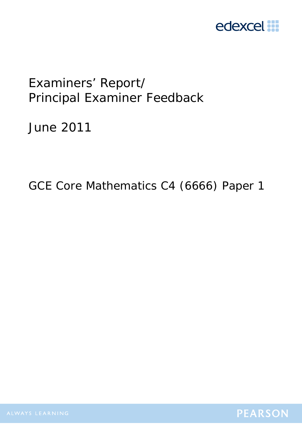

# Examiners' Report/ Principal Examiner Feedback

June 2011

GCE Core Mathematics C4 (6666) Paper 1

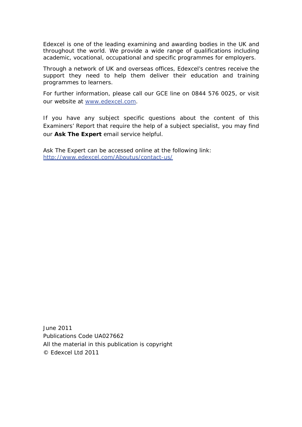Edexcel is one of the leading examining and awarding bodies in the UK and throughout the world. We provide a wide range of qualifications including academic, vocational, occupational and specific programmes for employers.

Through a network of UK and overseas offices, Edexcel's centres receive the support they need to help them deliver their education and training programmes to learners.

For further information, please call our GCE line on 0844 576 0025, or visit our website at www.edexcel.com.

If you have any subject specific questions about the content of this Examiners' Report that require the help of a subject specialist, you may find our **Ask The Expert** email service helpful.

Ask The Expert can be accessed online at the following link: http://www.edexcel.com/Aboutus/contact-us/

June 2011 Publications Code UA027662 All the material in this publication is copyright © Edexcel Ltd 2011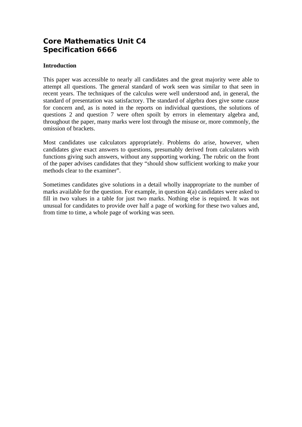# **Core Mathematics Unit C4 Specification 6666**

# **Introduction**

This paper was accessible to nearly all candidates and the great majority were able to attempt all questions. The general standard of work seen was similar to that seen in recent years. The techniques of the calculus were well understood and, in general, the standard of presentation was satisfactory. The standard of algebra does give some cause for concern and, as is noted in the reports on individual questions, the solutions of questions 2 and question 7 were often spoilt by errors in elementary algebra and, throughout the paper, many marks were lost through the misuse or, more commonly, the omission of brackets.

Most candidates use calculators appropriately. Problems do arise, however, when candidates give exact answers to questions, presumably derived from calculators with functions giving such answers, without any supporting working. The rubric on the front of the paper advises candidates that they "should show sufficient working to make your methods clear to the examiner".

Sometimes candidates give solutions in a detail wholly inappropriate to the number of marks available for the question. For example, in question 4(a) candidates were asked to fill in two values in a table for just two marks. Nothing else is required. It was not unusual for candidates to provide over half a page of working for these two values and, from time to time, a whole page of working was seen.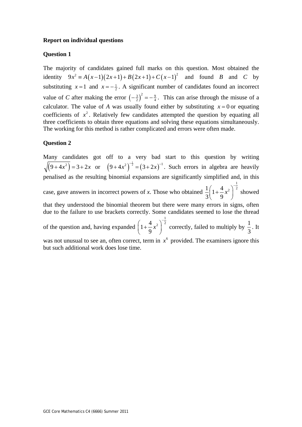#### **Report on individual questions**

#### **Question 1**

The majority of candidates gained full marks on this question. Most obtained the identity  $9x^2 = A(x-1)(2x+1) + B(2x+1) + C(x-1)^2$  and found *B* and *C* by substituting  $x = 1$  and  $x = -\frac{1}{2}$ . A significant number of candidates found an incorrect value of *C* after making the error  $\left(-\frac{3}{2}\right)^2 = -\frac{9}{4}$ . This can arise through the misuse of a calculator. The value of *A* was usually found either by substituting  $x = 0$  or equating coefficients of  $x^2$ . Relatively few candidates attempted the question by equating all three coefficients to obtain three equations and solving these equations simultaneously. The working for this method is rather complicated and errors were often made.

#### **Question 2**

Many candidates got off to a very bad start to this question by writing  $(9+4x^2) = 3+2x$  or  $(9+4x^2)^{-\frac{1}{2}} = (3+2x)^{-1}$ . Such errors in algebra are heavily penalised as the resulting binomial expansions are significantly simplified and, in this case, gave answers in incorrect powers of *x*. Those who obtained  $\frac{1}{2} \left( 1 + \frac{4}{2} x^2 \right)^{-\frac{1}{2}}$  $3(9)$ *x*  $\left(1+\frac{4}{9}x^2\right)^{-\frac{1}{2}}$  showed that they understood the binomial theorem but there were many errors in signs, often due to the failure to use brackets correctly. Some candidates seemed to lose the thread of the question and, having expanded  $\left(1+\frac{4}{5}x^2\right)^{-\frac{1}{2}}$ 9 *x*  $\left(1+\frac{4}{9}x^2\right)^{-\frac{1}{2}}$  correctly, failed to multiply by  $\frac{1}{3}$ . It was not unusual to see an, often correct, term in  $x^6$  provided. The examiners ignore this but such additional work does lose time.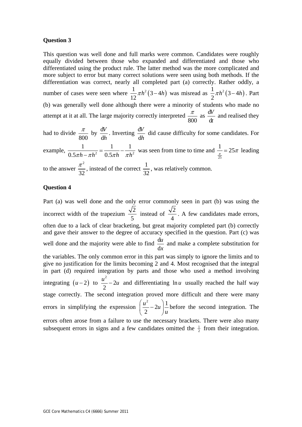#### **Question 3**

This question was well done and full marks were common. Candidates were roughly equally divided between those who expanded and differentiated and those who differentiated using the product rule. The latter method was the more complicated and more subject to error but many correct solutions were seen using both methods. If the differentiation was correct, nearly all completed part (a) correctly. Rather oddly, a number of cases were seen where  $\frac{1}{12} \pi h^2 (3-4h)$ 12  $\pi h^2 (3-4h)$  was misread as  $\frac{1}{2} \pi h^2 (3-4h)$ 2  $\pi h^2 (3-4h)$ . Part (b) was generally well done although there were a minority of students who made no attempt at it at all. The large majority correctly interpreted  $\frac{\pi}{800}$  as  $\frac{d}{d}$ d *V t* and realised they had to divide  $\frac{\pi}{2}$  by  $\frac{d}{d}$  $\frac{dV}{dh}$ . Inverting  $\frac{dV}{dt}$  $\frac{W}{\hbar}$  did cause difficulty for some candidates. For

800 d example,  $\frac{1}{0.5\pi h - \pi h^2} = \frac{1}{0.5\pi h} - \frac{1}{\pi h^2}$  was seen from time to time and  $\frac{1}{\frac{\pi}{25}}$  $\frac{1}{\pi}$  = 25 $\pi$  leading to the answer 2 32  $\frac{\pi^2}{32}$ , instead of the correct  $\frac{1}{32}$ , was relatively common.

## **Question 4**

Part (a) was well done and the only error commonly seen in part (b) was using the incorrect width of the trapezium  $\frac{\sqrt{2}}{2}$ 5 instead of  $\frac{\sqrt{2}}{4}$ . A few candidates made errors, often due to a lack of clear bracketing, but great majority completed part (b) correctly and gave their answer to the degree of accuracy specified in the question. Part (c) was well done and the majority were able to find  $\frac{d}{dx}$ d *u x* and make a complete substitution for the variables. The only common error in this part was simply to ignore the limits and to give no justification for the limits becoming 2 and 4. Most recognised that the integral in part (d) required integration by parts and those who used a method involving integrating  $(u - 2)$  to 2 2 2  $\frac{u^2}{2} - 2u$  and differentiating ln *u* usually reached the half way stage correctly. The second integration proved more difficult and there were many errors in simplifying the expression  $\left(\frac{u^2}{2} - 2u\right) \frac{1}{2}$ 2  $\frac{u^2}{2}$  – 2u  $\left(\frac{u^2}{2}-2u\right)\frac{1}{u}$  $(2)$ before the second integration. The errors often arose from a failure to use the necessary brackets. There were also many subsequent errors in signs and a few candidates omitted the  $\frac{1}{2}$  from their integration.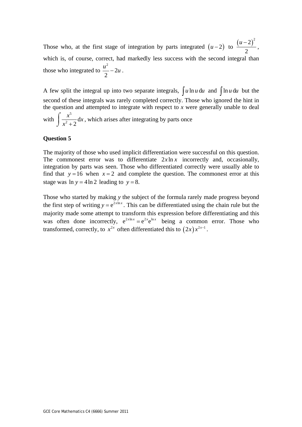Those who, at the first stage of integration by parts integrated  $(u-2)$  to  $\frac{(u-2)^2}{2}$ 2  $\frac{u-2)^2}{2}$ , which is, of course, correct, had markedly less success with the second integral than those who integrated to 2 2 2  $\frac{u^2}{2} - 2u$ .

A few split the integral up into two separate integrals,  $\int u \ln u \, du$  and  $\int \ln u \, du$  but the second of these integrals was rarely completed correctly. Those who ignored the hint in the question and attempted to integrate with respect to *x* were generally unable to deal with 5  $\frac{x}{2+2}d$  $\frac{x^5}{2}$  dx  $x^2 +$  $\int \frac{x^3}{x^2+2} dx$ , which arises after integrating by parts once

## **Question 5**

The majority of those who used implicit differentiation were successful on this question. The commonest error was to differentiate  $2x \ln x$  incorrectly and, occasionally, integration by parts was seen. Those who differentiated correctly were usually able to find that  $y=16$  when  $x=2$  and complete the question. The commonest error at this stage was  $\ln y = 4 \ln 2$  *leading to*  $y = 8$ .

Those who started by making *y* the subject of the formula rarely made progress beyond the first step of writing  $y = e^{2x \ln x}$ . This can be differentiated using the chain rule but the majority made some attempt to transform this expression before differentiating and this was often done incorrectly,  $e^{2x \ln x} = e^{2x} e^{\ln x}$  being a common error. Those who transformed, correctly, to  $x^{2x}$  often differentiated this to  $(2x) x^{2x-1}$ .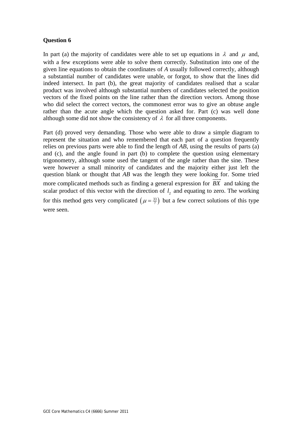# **Question 6**

In part (a) the majority of candidates were able to set up equations in  $\lambda$  and  $\mu$  and, with a few exceptions were able to solve them correctly. Substitution into one of the given line equations to obtain the coordinates of *A* usually followed correctly, although a substantial number of candidates were unable, or forgot, to show that the lines did indeed intersect. In part (b), the great majority of candidates realised that a scalar product was involved although substantial numbers of candidates selected the position vectors of the fixed points on the line rather than the direction vectors. Among those who did select the correct vectors, the commonest error was to give an obtuse angle rather than the acute angle which the question asked for. Part (c) was well done although some did not show the consistency of  $\lambda$  for all three components.

Part (d) proved very demanding. Those who were able to draw a simple diagram to represent the situation and who remembered that each part of a question frequently relies on previous parts were able to find the length of *AB*, using the results of parts (a) and (c), and the angle found in part (b) to complete the question using elementary trigonometry, although some used the tangent of the angle rather than the sine. These were however a small minority of candidates and the majority either just left the question blank or thought that *AB* was the length they were looking for. Some tried more complicated methods such as finding a general expression for *BX* and taking the scalar product of this vector with the direction of  $l<sub>2</sub>$  and equating to zero. The working for this method gets very complicated  $(\mu = \frac{33}{7})$  but a few correct solutions of this type were seen.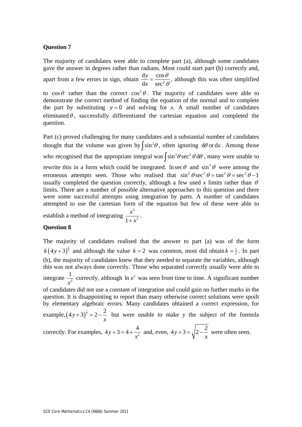#### **Question 7**

question.

The majority of candidates were able to complete part (a), although some candidates gave the answer in degrees rather than radians. Most could start part (b) correctly and, apart from a few errors in sign, obtain  $\frac{dy}{dx} = \frac{\cos^2 x}{\cos^2 x}$  $dx$  sec *y x*  $=\frac{\cos\theta}{\sec^2\theta}$ , although this was often simplified to  $\cos\theta$  rather than the correct  $\cos^3\theta$ . The majority of candidates were able to demonstrate the correct method of finding the equation of the normal and to complete the part by substituting  $y = 0$  and solving for *x*. A small number of candidates

eliminated $\theta$ , successfully differentiated the cartesian equation and completed the

Part (c) proved challenging for many candidates and a substantial number of candidates thought that the volume was given by  $\int \sin^2 \theta$ , often ignoring d $\theta$  or dx. Among those who recognised that the appropriate integral was  $\int \sin^2 \theta \sec^2 \theta d\theta$ , many were unable to rewrite this in a form which could be integrated. ln sec  $\theta$  and  $\sin^3 \theta$  were among the erroneous attempts seen. Those who realised that  $\sin^2 \theta \sec^2 \theta = \tan^2 \theta = \sec^2 \theta - 1$ usually completed the question correctly, although a few used x limits rather than  $\theta$ limits. There are a number of possible alternative approaches to this question and there were some successful attempts using integration by parts. A number of candidates attempted to use the cartesian form of the equation but few of these were able to establish a method of integrating 2  $1 + x^2$  $\frac{x^2}{+x^2}$ .

#### **Question 8**

The majority of candidates realised that the answer to part (a) was of the form  $k(4y+3)^{\frac{1}{2}}$  and although the value  $k=2$  was common, most did obtain  $k=\frac{1}{2}$ . In part (b), the majority of candidates knew that they needed to separate the variables, although this was not always done correctly. Those who separated correctly usually were able to integrate  $\frac{1}{r^2}$ *x* correctly, although  $\ln x^2$  was seen from time to time. A significant number of candidates did not use a constant of integration and could gain no further marks in the question. It is disappointing to report than many otherwise correct solutions were spoilt by elementary algebraic errors. Many candidates obtained a correct expression, for example,  $(4y+3)^{\frac{1}{2}} = 2 - \frac{2}{3}$ *x*  $(1+3)^{\frac{3}{2}} = 2-\frac{2}{3}$  but were unable to make *y* the subject of the formula correctly. For examples,  $4y + 3 = 4 + \frac{4}{x^2}$ *x*  $+3=4+\frac{4}{2}$  and, even,  $4y+3=\sqrt{2-2}$ *x*  $+3 = \sqrt{2-\frac{2}{x}}$  were often seen.